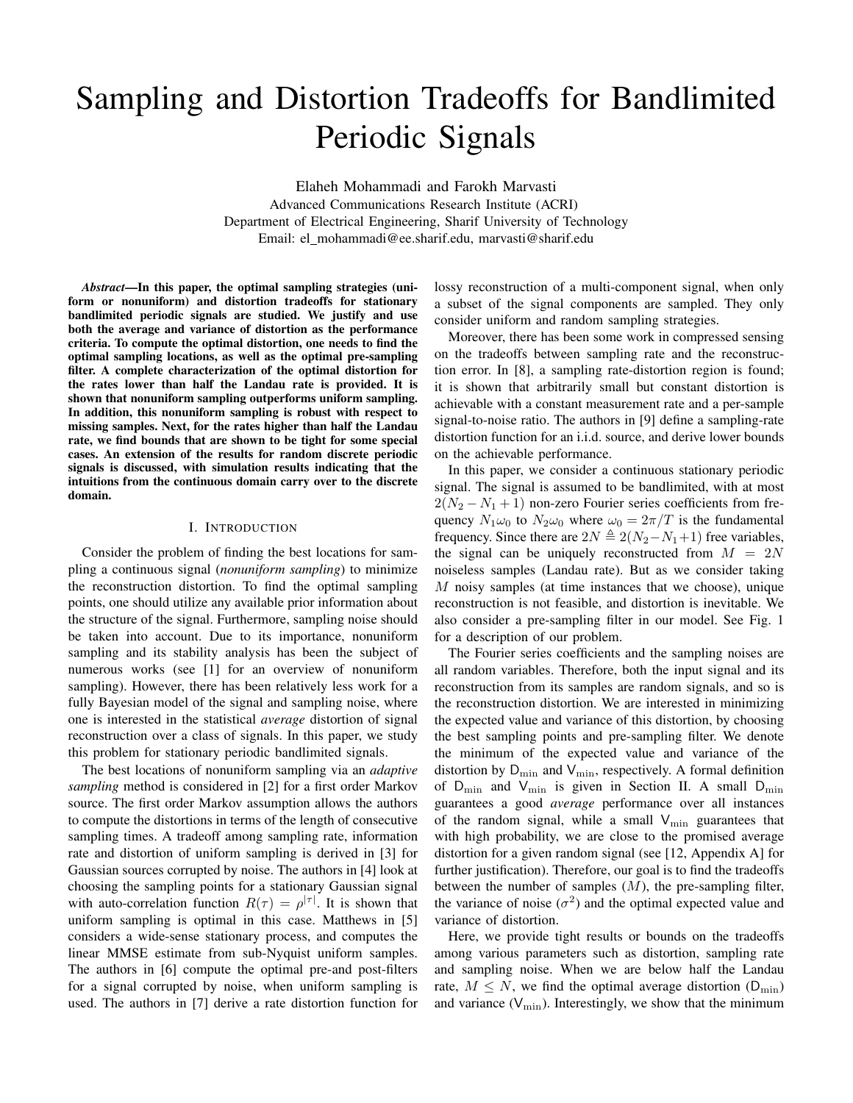# Sampling and Distortion Tradeoffs for Bandlimited Periodic Signals

Elaheh Mohammadi and Farokh Marvasti Advanced Communications Research Institute (ACRI) Department of Electrical Engineering, Sharif University of Technology Email: el mohammadi@ee.sharif.edu, marvasti@sharif.edu

*Abstract*—In this paper, the optimal sampling strategies (uniform or nonuniform) and distortion tradeoffs for stationary bandlimited periodic signals are studied. We justify and use both the average and variance of distortion as the performance criteria. To compute the optimal distortion, one needs to find the optimal sampling locations, as well as the optimal pre-sampling filter. A complete characterization of the optimal distortion for the rates lower than half the Landau rate is provided. It is shown that nonuniform sampling outperforms uniform sampling. In addition, this nonuniform sampling is robust with respect to missing samples. Next, for the rates higher than half the Landau rate, we find bounds that are shown to be tight for some special cases. An extension of the results for random discrete periodic signals is discussed, with simulation results indicating that the intuitions from the continuous domain carry over to the discrete domain.

# I. INTRODUCTION

Consider the problem of finding the best locations for sampling a continuous signal (*nonuniform sampling*) to minimize the reconstruction distortion. To find the optimal sampling points, one should utilize any available prior information about the structure of the signal. Furthermore, sampling noise should be taken into account. Due to its importance, nonuniform sampling and its stability analysis has been the subject of numerous works (see [1] for an overview of nonuniform sampling). However, there has been relatively less work for a fully Bayesian model of the signal and sampling noise, where one is interested in the statistical *average* distortion of signal reconstruction over a class of signals. In this paper, we study this problem for stationary periodic bandlimited signals.

The best locations of nonuniform sampling via an *adaptive sampling* method is considered in [2] for a first order Markov source. The first order Markov assumption allows the authors to compute the distortions in terms of the length of consecutive sampling times. A tradeoff among sampling rate, information rate and distortion of uniform sampling is derived in [3] for Gaussian sources corrupted by noise. The authors in [4] look at choosing the sampling points for a stationary Gaussian signal with auto-correlation function  $R(\tau) = \rho^{|\tau|}$ . It is shown that uniform sampling is optimal in this case. Matthews in [5] considers a wide-sense stationary process, and computes the linear MMSE estimate from sub-Nyquist uniform samples. The authors in [6] compute the optimal pre-and post-filters for a signal corrupted by noise, when uniform sampling is used. The authors in [7] derive a rate distortion function for lossy reconstruction of a multi-component signal, when only a subset of the signal components are sampled. They only consider uniform and random sampling strategies.

Moreover, there has been some work in compressed sensing on the tradeoffs between sampling rate and the reconstruction error. In [8], a sampling rate-distortion region is found; it is shown that arbitrarily small but constant distortion is achievable with a constant measurement rate and a per-sample signal-to-noise ratio. The authors in [9] define a sampling-rate distortion function for an i.i.d. source, and derive lower bounds on the achievable performance.

In this paper, we consider a continuous stationary periodic signal. The signal is assumed to be bandlimited, with at most  $2(N_2 - N_1 + 1)$  non-zero Fourier series coefficients from frequency  $N_1\omega_0$  to  $N_2\omega_0$  where  $\omega_0 = 2\pi/T$  is the fundamental frequency. Since there are  $2N \triangleq 2(N_2-N_1+1)$  free variables, the signal can be uniquely reconstructed from  $M = 2N$ noiseless samples (Landau rate). But as we consider taking  $M$  noisy samples (at time instances that we choose), unique reconstruction is not feasible, and distortion is inevitable. We also consider a pre-sampling filter in our model. See Fig. 1 for a description of our problem.

The Fourier series coefficients and the sampling noises are all random variables. Therefore, both the input signal and its reconstruction from its samples are random signals, and so is the reconstruction distortion. We are interested in minimizing the expected value and variance of this distortion, by choosing the best sampling points and pre-sampling filter. We denote the minimum of the expected value and variance of the distortion by  $D_{\min}$  and  $V_{\min}$ , respectively. A formal definition of  $D_{\min}$  and  $V_{\min}$  is given in Section II. A small  $D_{\min}$ guarantees a good *average* performance over all instances of the random signal, while a small  $V_{\min}$  guarantees that with high probability, we are close to the promised average distortion for a given random signal (see [12, Appendix A] for further justification). Therefore, our goal is to find the tradeoffs between the number of samples  $(M)$ , the pre-sampling filter, the variance of noise  $(\sigma^2)$  and the optimal expected value and variance of distortion.

Here, we provide tight results or bounds on the tradeoffs among various parameters such as distortion, sampling rate and sampling noise. When we are below half the Landau rate,  $M \leq N$ , we find the optimal average distortion (D<sub>min</sub>) and variance  $(V_{\text{min}})$ . Interestingly, we show that the minimum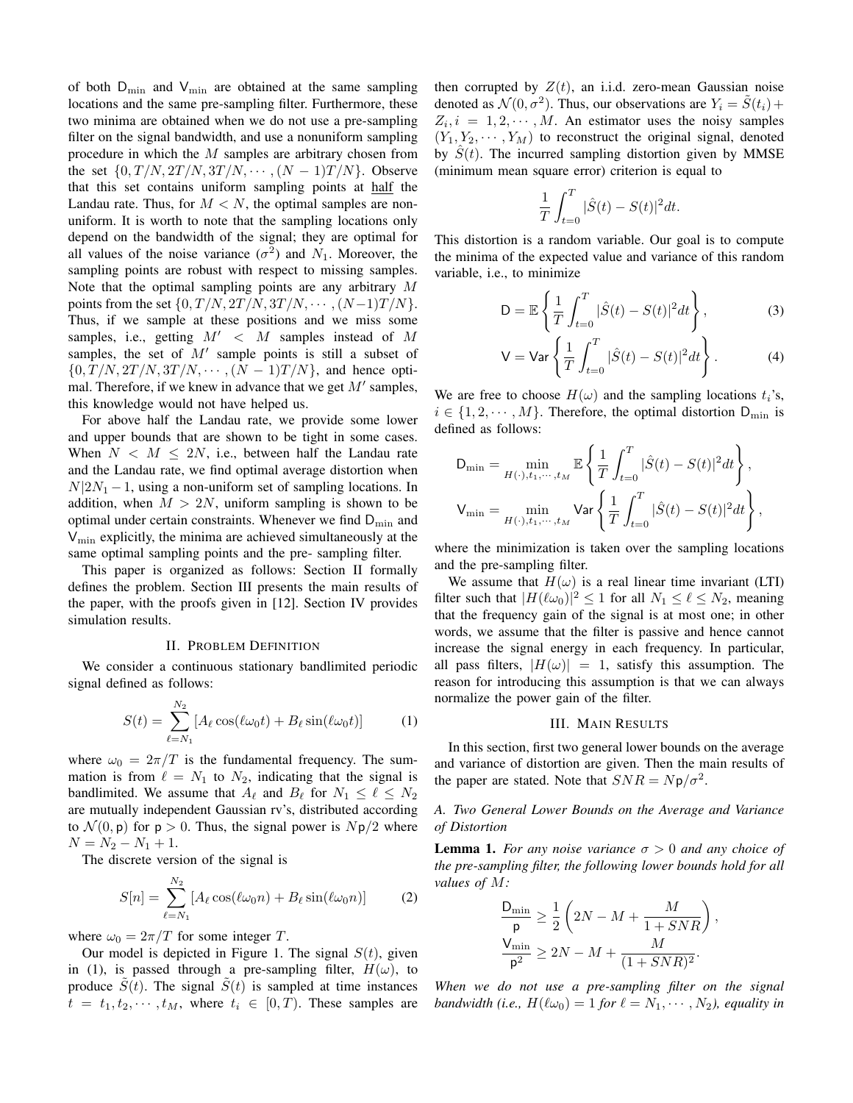of both  $D_{\min}$  and  $V_{\min}$  are obtained at the same sampling locations and the same pre-sampling filter. Furthermore, these two minima are obtained when we do not use a pre-sampling filter on the signal bandwidth, and use a nonuniform sampling procedure in which the M samples are arbitrary chosen from the set  $\{0, T/N, 2T/N, 3T/N, \cdots, (N-1)T/N\}$ . Observe that this set contains uniform sampling points at half the Landau rate. Thus, for  $M < N$ , the optimal samples are nonuniform. It is worth to note that the sampling locations only depend on the bandwidth of the signal; they are optimal for all values of the noise variance  $(\sigma^2)$  and  $N_1$ . Moreover, the sampling points are robust with respect to missing samples. Note that the optimal sampling points are any arbitrary M points from the set  $\{0, T/N, 2T/N, 3T/N, \cdots, (N-1)T/N\}.$ Thus, if we sample at these positions and we miss some samples, i.e., getting  $M' < M$  samples instead of M samples, the set of  $M'$  sample points is still a subset of  $\{0, T/N, 2T/N, 3T/N, \cdots, (N-1)T/N\}$ , and hence optimal. Therefore, if we knew in advance that we get  $M'$  samples, this knowledge would not have helped us.

For above half the Landau rate, we provide some lower and upper bounds that are shown to be tight in some cases. When  $N < M \leq 2N$ , i.e., between half the Landau rate and the Landau rate, we find optimal average distortion when  $N|2N_1 - 1$ , using a non-uniform set of sampling locations. In addition, when  $M > 2N$ , uniform sampling is shown to be optimal under certain constraints. Whenever we find  $D_{\min}$  and  $V_{\text{min}}$  explicitly, the minima are achieved simultaneously at the same optimal sampling points and the pre- sampling filter.

This paper is organized as follows: Section II formally defines the problem. Section III presents the main results of the paper, with the proofs given in [12]. Section IV provides simulation results.

#### II. PROBLEM DEFINITION

We consider a continuous stationary bandlimited periodic signal defined as follows:

$$
S(t) = \sum_{\ell=N_1}^{N_2} \left[ A_{\ell} \cos(\ell \omega_0 t) + B_{\ell} \sin(\ell \omega_0 t) \right]
$$
 (1)

where  $\omega_0 = 2\pi/T$  is the fundamental frequency. The summation is from  $\ell = N_1$  to  $N_2$ , indicating that the signal is bandlimited. We assume that  $A_\ell$  and  $B_\ell$  for  $N_1 \leq \ell \leq N_2$ are mutually independent Gaussian rv's, distributed according to  $\mathcal{N}(0, \mathsf{p})$  for  $\mathsf{p} > 0$ . Thus, the signal power is  $N\mathsf{p}/2$  where  $N = N_2 - N_1 + 1.$ 

The discrete version of the signal is

$$
S[n] = \sum_{\ell=N_1}^{N_2} \left[ A_\ell \cos(\ell \omega_0 n) + B_\ell \sin(\ell \omega_0 n) \right] \tag{2}
$$

where  $\omega_0 = 2\pi/T$  for some integer T.

Our model is depicted in Figure 1. The signal  $S(t)$ , given in (1), is passed through a pre-sampling filter,  $H(\omega)$ , to produce  $\tilde{S}(t)$ . The signal  $\tilde{S}(t)$  is sampled at time instances  $t = t_1, t_2, \dots, t_M$ , where  $t_i \in [0, T)$ . These samples are then corrupted by  $Z(t)$ , an i.i.d. zero-mean Gaussian noise denoted as  $\mathcal{N}(0, \sigma^2)$ . Thus, our observations are  $Y_i = \tilde{S}(t_i) +$  $Z_i$ ,  $i = 1, 2, \dots, M$ . An estimator uses the noisy samples  $(Y_1, Y_2, \dots, Y_M)$  to reconstruct the original signal, denoted by  $S(t)$ . The incurred sampling distortion given by MMSE (minimum mean square error) criterion is equal to

$$
\frac{1}{T} \int_{t=0}^{T} |\hat{S}(t) - S(t)|^2 dt.
$$

This distortion is a random variable. Our goal is to compute the minima of the expected value and variance of this random variable, i.e., to minimize

$$
D = \mathbb{E}\left\{\frac{1}{T}\int_{t=0}^{T} |\hat{S}(t) - S(t)|^2 dt\right\},
$$
 (3)

$$
V = Var \left\{ \frac{1}{T} \int_{t=0}^{T} |\hat{S}(t) - S(t)|^2 dt \right\}.
$$
 (4)

We are free to choose  $H(\omega)$  and the sampling locations  $t_i$ 's,  $i \in \{1, 2, \dots, M\}$ . Therefore, the optimal distortion  $D_{\min}$  is defined as follows:

$$
D_{\min} = \min_{H(\cdot), t_1, \dots, t_M} \mathbb{E} \left\{ \frac{1}{T} \int_{t=0}^T |\hat{S}(t) - S(t)|^2 dt \right\},
$$
  

$$
V_{\min} = \min_{H(\cdot), t_1, \dots, t_M} \text{Var} \left\{ \frac{1}{T} \int_{t=0}^T |\hat{S}(t) - S(t)|^2 dt \right\},
$$

where the minimization is taken over the sampling locations and the pre-sampling filter.

We assume that  $H(\omega)$  is a real linear time invariant (LTI) filter such that  $|H(\ell\omega_0)|^2 \le 1$  for all  $N_1 \le \ell \le N_2$ , meaning that the frequency gain of the signal is at most one; in other words, we assume that the filter is passive and hence cannot increase the signal energy in each frequency. In particular, all pass filters,  $|H(\omega)| = 1$ , satisfy this assumption. The reason for introducing this assumption is that we can always normalize the power gain of the filter.

## III. MAIN RESULTS

In this section, first two general lower bounds on the average and variance of distortion are given. Then the main results of the paper are stated. Note that  $SNR = Np/\sigma^2$ .

*A. Two General Lower Bounds on the Average and Variance of Distortion*

**Lemma 1.** *For any noise variance*  $\sigma > 0$  *and any choice of the pre-sampling filter, the following lower bounds hold for all values of* M*:*

$$
\frac{\mathrm{D}_{\mathrm{min}}}{\mathrm{p}} \ge \frac{1}{2} \left( 2N - M + \frac{M}{1 + SNR} \right)
$$
  

$$
\frac{\mathrm{V}_{\mathrm{min}}}{\mathrm{p}^2} \ge 2N - M + \frac{M}{(1 + SNR)^2}.
$$

,

*When we do not use a pre-sampling filter on the signal bandwidth (i.e.,*  $H(\ell\omega_0) = 1$  *for*  $\ell = N_1, \cdots, N_2$ *), equality in*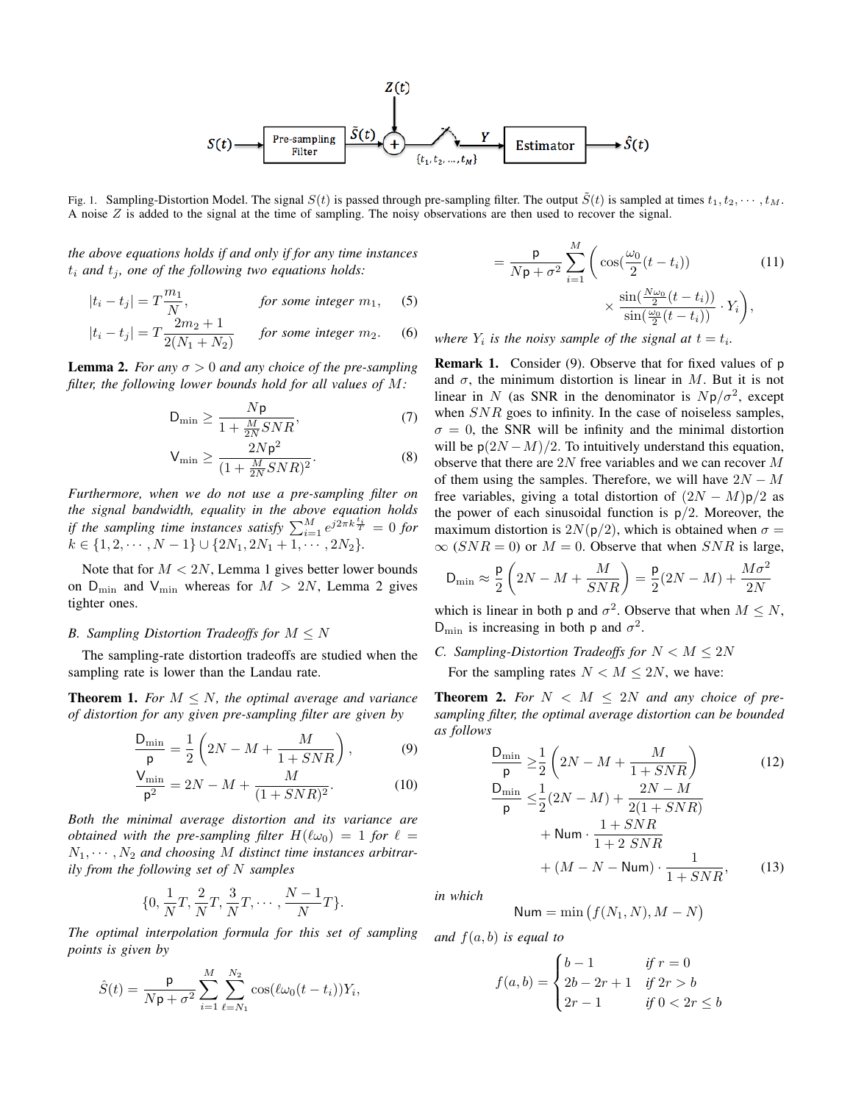

Fig. 1. Sampling-Distortion Model. The signal  $S(t)$  is passed through pre-sampling filter. The output  $\tilde{S}(t)$  is sampled at times  $t_1, t_2, \dots, t_M$ . A noise  $Z$  is added to the signal at the time of sampling. The noisy observations are then used to recover the signal.

*the above equations holds if and only if for any time instances*  $t_i$  and  $t_j$ , one of the following two equations holds:

$$
|t_i - t_j| = T \frac{m_1}{N}, \qquad \text{for some integer } m_1, \quad (5)
$$

$$
|t_i - t_j| = T \frac{2m_2 + 1}{2(N_1 + N_2)} \quad \text{for some integer } m_2. \quad (6)
$$

**Lemma 2.** *For any*  $\sigma > 0$  *and any choice of the pre-sampling filter, the following lower bounds hold for all values of* M*:*

$$
D_{\min} \ge \frac{Np}{1 + \frac{M}{2N}SNR},\tag{7}
$$

$$
\mathsf{V}_{\min} \ge \frac{2N\mathsf{p}^2}{(1 + \frac{M}{2N}SNR)^2}.\tag{8}
$$

*Furthermore, when we do not use a pre-sampling filter on the signal bandwidth, equality in the above equation holds if the sampling time instances satisfy*  $\sum_{i=1}^{M} e^{j2\pi k \frac{t_i}{T}} = 0$  for  $k \in \{1, 2, \cdots, N-1\} \cup \{2N_1, 2N_1+1, \cdots, 2N_2\}.$ 

Note that for  $M < 2N$ , Lemma 1 gives better lower bounds on  $D_{\min}$  and  $V_{\min}$  whereas for  $M > 2N$ , Lemma 2 gives tighter ones.

## *B. Sampling Distortion Tradeoffs for* M ≤ N

The sampling-rate distortion tradeoffs are studied when the sampling rate is lower than the Landau rate.

**Theorem 1.** *For*  $M \leq N$ *, the optimal average and variance of distortion for any given pre-sampling filter are given by*

$$
\frac{\mathsf{D}_{\min}}{\mathsf{p}} = \frac{1}{2} \left( 2N - M + \frac{M}{1 + SNR} \right),\tag{9}
$$

$$
\frac{V_{\min}}{\rho^2} = 2N - M + \frac{M}{(1 + SNR)^2}.
$$
 (10)

*Both the minimal average distortion and its variance are obtained with the pre-sampling filter*  $H(\ell\omega_0) = 1$  *for*  $\ell =$  $N_1, \cdots, N_2$  and choosing M distinct time instances arbitrar*ily from the following set of* N *samples*

$$
\{0, \frac{1}{N}T, \frac{2}{N}T, \frac{3}{N}T, \cdots, \frac{N-1}{N}T\}.
$$

*The optimal interpolation formula for this set of sampling points is given by*

$$
\hat{S}(t) = \frac{\mathsf{p}}{N\mathsf{p} + \sigma^2} \sum_{i=1}^{M} \sum_{\ell=N_1}^{N_2} \cos(\ell \omega_0 (t - t_i)) Y_i,
$$

$$
= \frac{\mathsf{p}}{N\mathsf{p} + \sigma^2} \sum_{i=1}^{M} \left( \cos(\frac{\omega_0}{2}(t - t_i)) + \frac{\sin(\frac{N\omega_0}{2}(t - t_i))}{\sin(\frac{\omega_0}{2}(t - t_i))} \cdot Y_i \right), \tag{11}
$$

where  $Y_i$  is the noisy sample of the signal at  $t = t_i$ .

Remark 1. Consider (9). Observe that for fixed values of p and  $\sigma$ , the minimum distortion is linear in M. But it is not linear in N (as SNR in the denominator is  $Np/\sigma^2$ , except when  $SNR$  goes to infinity. In the case of noiseless samples,  $\sigma = 0$ , the SNR will be infinity and the minimal distortion will be  $p(2N-M)/2$ . To intuitively understand this equation, observe that there are 2N free variables and we can recover M of them using the samples. Therefore, we will have  $2N - M$ free variables, giving a total distortion of  $(2N - M)p/2$  as the power of each sinusoidal function is  $p/2$ . Moreover, the maximum distortion is  $2N(p/2)$ , which is obtained when  $\sigma =$  $\infty$  (SNR = 0) or  $M = 0$ . Observe that when SNR is large,

$$
\mathsf{D}_{\min} \approx \frac{\mathsf{p}}{2}\left(2N - M + \frac{M}{SNR}\right) = \frac{\mathsf{p}}{2}(2N - M) + \frac{M\sigma^2}{2N}
$$

which is linear in both p and  $\sigma^2$ . Observe that when  $M \leq N$ ,  $D_{\min}$  is increasing in both p and  $\sigma^2$ .

*C. Sampling-Distortion Tradeoffs for*  $N < M \leq 2N$ For the sampling rates  $N < M < 2N$ , we have:

**Theorem 2.** For  $N < M \leq 2N$  and any choice of pre*sampling filter, the optimal average distortion can be bounded as follows*

$$
\frac{D_{\min}}{p} \ge \frac{1}{2} \left( 2N - M + \frac{M}{1 + SNR} \right)
$$
(12)  

$$
\frac{D_{\min}}{p} \le \frac{1}{2} (2N - M) + \frac{2N - M}{2(1 + SNR)}
$$
  

$$
+ \text{Num} \cdot \frac{1 + SNR}{1 + 2 SNR}
$$
  

$$
+ (M - N - \text{Num}) \cdot \frac{1}{1 + SNR},
$$
(13)

*in which*

$$
\mathsf{Num} = \min\big(f(N_1, N), M - N\big)
$$

*and* f(a, b) *is equal to*

$$
f(a,b) = \begin{cases} b-1 & \text{if } r = 0\\ 2b - 2r + 1 & \text{if } 2r > b\\ 2r - 1 & \text{if } 0 < 2r \le b \end{cases}
$$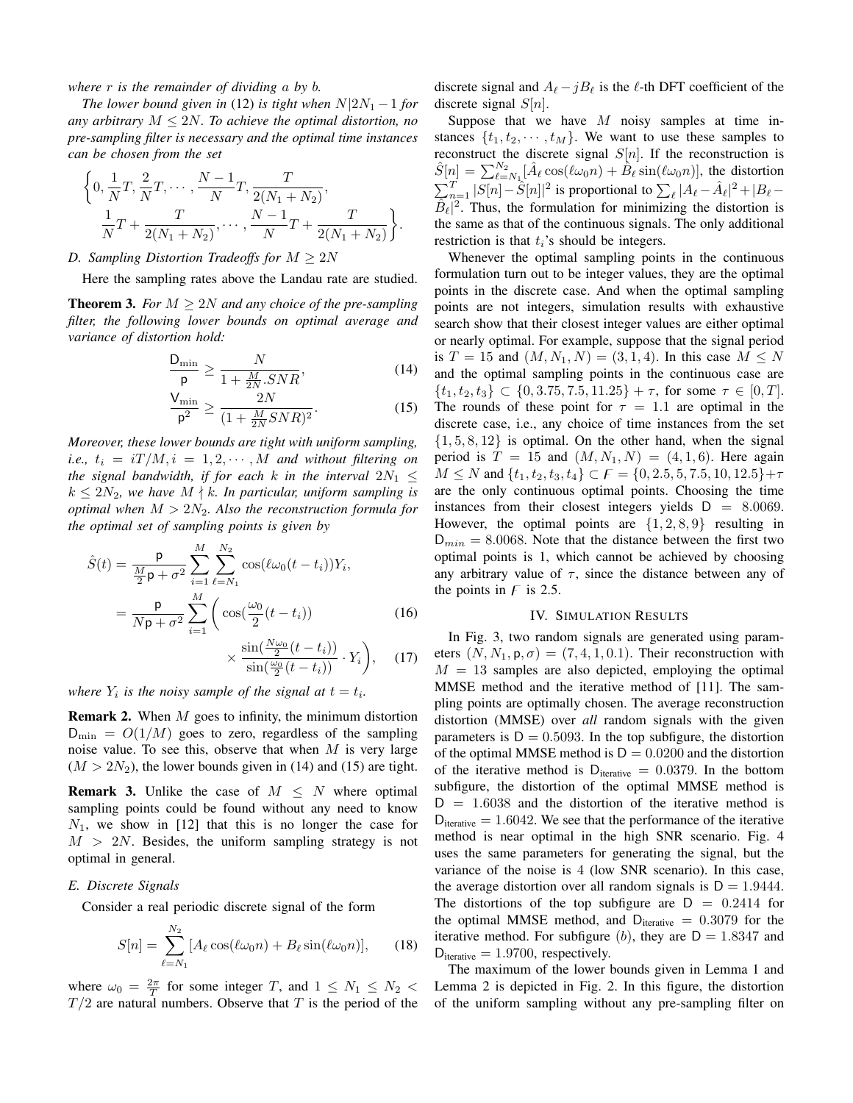*where* r *is the remainder of dividing* a *by* b*.*

*The lower bound given in* (12) *is tight when*  $N|2N_1 - 1$  *for any arbitrary* M ≤ 2N*. To achieve the optimal distortion, no pre-sampling filter is necessary and the optimal time instances can be chosen from the set*

$$
\left\{0, \frac{1}{N}T, \frac{2}{N}T, \dots, \frac{N-1}{N}T, \frac{T}{2(N_1+N_2)}, \frac{1}{N}T + \frac{T}{2(N_1+N_2)}, \dots, \frac{N-1}{N}T + \frac{T}{2(N_1+N_2)}\right\}.
$$

# *D. Sampling Distortion Tradeoffs for*  $M \geq 2N$

Here the sampling rates above the Landau rate are studied.

**Theorem 3.** *For*  $M \geq 2N$  *and any choice of the pre-sampling filter, the following lower bounds on optimal average and variance of distortion hold:*

$$
\frac{\mathsf{D}_{\min}}{\mathsf{p}} \ge \frac{N}{1 + \frac{M}{2N} . SNR},\tag{14}
$$

$$
\frac{V_{\min}}{\mathsf{p}^2} \ge \frac{2N}{(1 + \frac{M}{2N}SNR)^2}.\tag{15}
$$

*Moreover, these lower bounds are tight with uniform sampling, i.e.,*  $t_i = iT/M, i = 1, 2, \cdots, M$  *and without filtering on the signal bandwidth, if for each k in the interval*  $2N_1 \leq$  $k \leq 2N_2$ , we have  $M \nmid k$ . In particular, uniform sampling is *optimal when*  $M > 2N_2$ . Also the reconstruction formula for *the optimal set of sampling points is given by*

$$
\hat{S}(t) = \frac{\mathsf{p}}{\frac{M}{2}\mathsf{p} + \sigma^2} \sum_{i=1}^{M} \sum_{\ell=N_1}^{N_2} \cos(\ell \omega_0 (t - t_i)) Y_i,
$$
\n
$$
= \frac{\mathsf{p}}{N\mathsf{p} + \sigma^2} \sum_{i=1}^{M} \left( \cos(\frac{\omega_0}{2}(t - t_i)) \right) \tag{16}
$$
\n
$$
\sin(\frac{N\omega_0}{2}(t - t_i)) \quad \text{V}
$$

$$
\times \frac{\sin(\frac{\omega_0}{2}(t-t_i))}{\sin(\frac{\omega_0}{2}(t-t_i))} \cdot Y_i\bigg), \quad (17)
$$

*where*  $Y_i$  *is the noisy sample of the signal at*  $t = t_i$ *.* 

**Remark 2.** When  $M$  goes to infinity, the minimum distortion  $D_{\min} = O(1/M)$  goes to zero, regardless of the sampling noise value. To see this, observe that when  $M$  is very large  $(M > 2N_2)$ , the lower bounds given in (14) and (15) are tight.

**Remark 3.** Unlike the case of  $M \leq N$  where optimal sampling points could be found without any need to know  $N_1$ , we show in [12] that this is no longer the case for  $M > 2N$ . Besides, the uniform sampling strategy is not optimal in general.

### *E. Discrete Signals*

Consider a real periodic discrete signal of the form

$$
S[n] = \sum_{\ell=N_1}^{N_2} [A_{\ell} \cos(\ell \omega_0 n) + B_{\ell} \sin(\ell \omega_0 n)], \qquad (18)
$$

where  $\omega_0 = \frac{2\pi}{T}$  for some integer T, and  $1 \leq N_1 \leq N_2$  $T/2$  are natural numbers. Observe that T is the period of the

discrete signal and  $A_{\ell} - jB_{\ell}$  is the  $\ell$ -th DFT coefficient of the discrete signal  $S[n]$ .

Suppose that we have  $M$  noisy samples at time instances  $\{t_1, t_2, \dots, t_M\}$ . We want to use these samples to reconstruct the discrete signal  $S[n]$ . If the reconstruction is  $\hat{S}[n] = \sum_{\ell=N_1}^{N_2} [\hat{A}_{\ell} \cos(\ell \omega_0 n) + \hat{B}_{\ell} \sin(\ell \omega_0 n)],$  the distortion  $\sum_{n=1}^{T} |S[n] - \hat{S}[n]|^2$  is proportional to  $\sum_{\ell} |A_{\ell} - \hat{A}_{\ell}|^2 + |B_{\ell} \overline{\hat{B}_{\ell}}|^2$ . Thus, the formulation for minimizing the distortion is the same as that of the continuous signals. The only additional restriction is that  $t_i$ 's should be integers.

Whenever the optimal sampling points in the continuous formulation turn out to be integer values, they are the optimal points in the discrete case. And when the optimal sampling points are not integers, simulation results with exhaustive search show that their closest integer values are either optimal or nearly optimal. For example, suppose that the signal period is  $T = 15$  and  $(M, N_1, N) = (3, 1, 4)$ . In this case  $M \le N$ and the optimal sampling points in the continuous case are  $\{t_1, t_2, t_3\} \subset \{0, 3.75, 7.5, 11.25\} + \tau$ , for some  $\tau \in [0, T]$ . The rounds of these point for  $\tau = 1.1$  are optimal in the discrete case, i.e., any choice of time instances from the set  $\{1, 5, 8, 12\}$  is optimal. On the other hand, when the signal period is  $T = 15$  and  $(M, N_1, N) = (4, 1, 6)$ . Here again  $M \leq N$  and  $\{t_1, t_2, t_3, t_4\} \subset F = \{0, 2.5, 5, 7.5, 10, 12.5\} + \tau$ are the only continuous optimal points. Choosing the time instances from their closest integers yields  $D = 8.0069$ . However, the optimal points are  $\{1, 2, 8, 9\}$  resulting in  $D_{min} = 8.0068$ . Note that the distance between the first two optimal points is 1, which cannot be achieved by choosing any arbitrary value of  $\tau$ , since the distance between any of the points in  $F$  is 2.5.

#### IV. SIMULATION RESULTS

In Fig. 3, two random signals are generated using parameters  $(N, N_1, p, \sigma) = (7, 4, 1, 0.1)$ . Their reconstruction with  $M = 13$  samples are also depicted, employing the optimal MMSE method and the iterative method of [11]. The sampling points are optimally chosen. The average reconstruction distortion (MMSE) over *all* random signals with the given parameters is  $D = 0.5093$ . In the top subfigure, the distortion of the optimal MMSE method is  $D = 0.0200$  and the distortion of the iterative method is  $D_{\text{iterative}} = 0.0379$ . In the bottom subfigure, the distortion of the optimal MMSE method is  $D = 1.6038$  and the distortion of the iterative method is  $D_{\text{iterative}} = 1.6042$ . We see that the performance of the iterative method is near optimal in the high SNR scenario. Fig. 4 uses the same parameters for generating the signal, but the variance of the noise is 4 (low SNR scenario). In this case, the average distortion over all random signals is  $D = 1.9444$ . The distortions of the top subfigure are  $D = 0.2414$  for the optimal MMSE method, and  $D_{\text{iterative}} = 0.3079$  for the iterative method. For subfigure (b), they are  $D = 1.8347$  and  $D_{\text{iterative}} = 1.9700$ , respectively.

The maximum of the lower bounds given in Lemma 1 and Lemma 2 is depicted in Fig. 2. In this figure, the distortion of the uniform sampling without any pre-sampling filter on